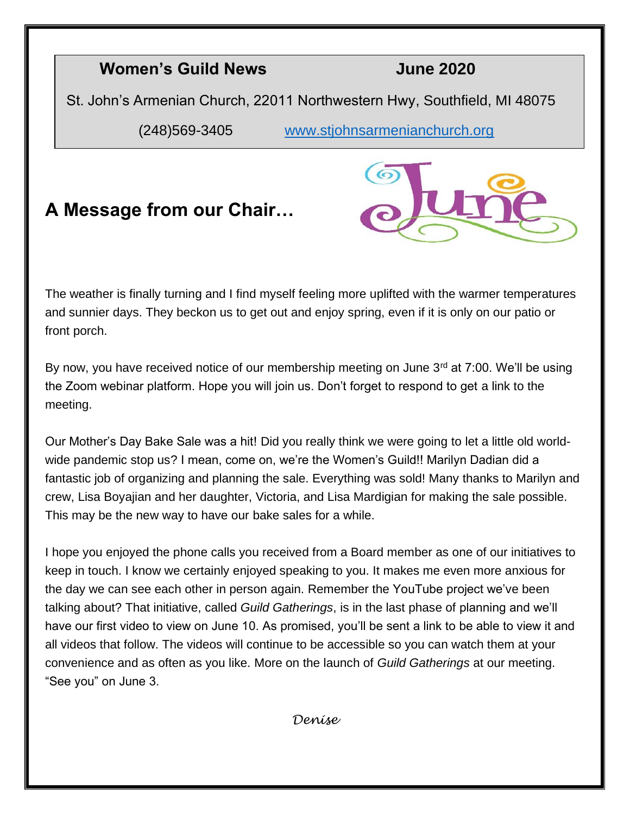#### **Women's Guild News June 2020**

St. John's Armenian Church, 22011 Northwestern Hwy, Southfield, MI 48075

(248)569-3405 www.stjohnsarmenianchurch.org

### **A Message from our Chair…**



The weather is finally turning and I find myself feeling more uplifted with the warmer temperatures and sunnier days. They beckon us to get out and enjoy spring, even if it is only on our patio or front porch.

By now, you have received notice of our membership meeting on June  $3<sup>rd</sup>$  at 7:00. We'll be using the Zoom webinar platform. Hope you will join us. Don't forget to respond to get a link to the meeting.

Our Mother's Day Bake Sale was a hit! Did you really think we were going to let a little old worldwide pandemic stop us? I mean, come on, we're the Women's Guild!! Marilyn Dadian did a fantastic job of organizing and planning the sale. Everything was sold! Many thanks to Marilyn and crew, Lisa Boyajian and her daughter, Victoria, and Lisa Mardigian for making the sale possible. This may be the new way to have our bake sales for a while.

I hope you enjoyed the phone calls you received from a Board member as one of our initiatives to keep in touch. I know we certainly enjoyed speaking to you. It makes me even more anxious for the day we can see each other in person again. Remember the YouTube project we've been talking about? That initiative, called *Guild Gatherings*, is in the last phase of planning and we'll have our first video to view on June 10. As promised, you'll be sent a link to be able to view it and all videos that follow. The videos will continue to be accessible so you can watch them at your convenience and as often as you like. More on the launch of *Guild Gatherings* at our meeting. "See you" on June 3.

*Denise*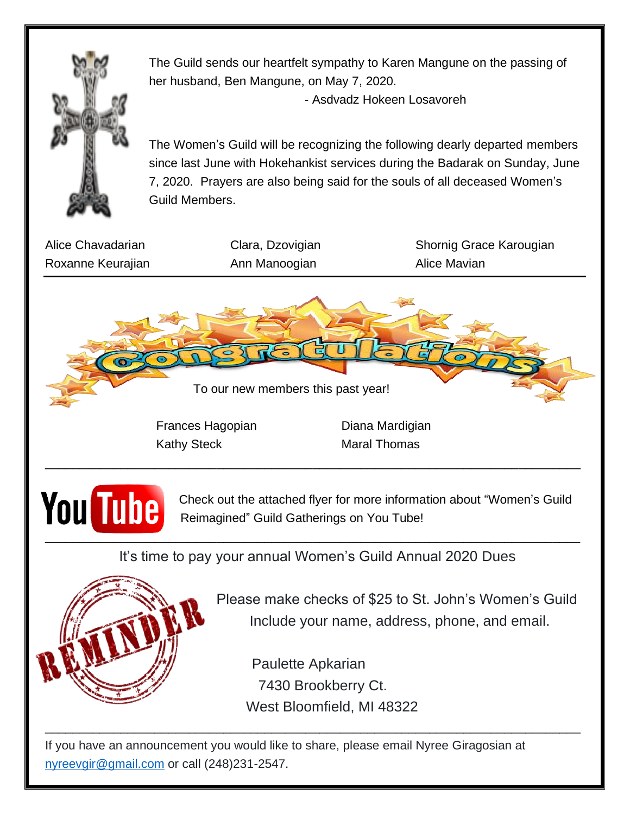

The Guild sends our heartfelt sympathy to Karen Mangune on the passing of her husband, Ben Mangune, on May 7, 2020.

- Asdvadz Hokeen Losavoreh

The Women's Guild will be recognizing the following dearly departed members since last June with Hokehankist services during the Badarak on Sunday, June 7, 2020. Prayers are also being said for the souls of all deceased Women's Guild Members.

Roxanne Keurajian **Ann Manoogian** Ann Manoogian Alice Mavian

Alice Chavadarian **Clara, Dzovigian** Shornig Grace Karougian



Frances Hagopian Diana Mardigian Kathy Steck Maral Thomas



**YOU** TUDE Reimagined" Guild Gatherings on You Tube! Reimagined" Guild Gatherings on You Tube!

It's time to pay your annual Women's Guild Annual 2020 Dues

\_\_\_\_\_\_\_\_\_\_\_\_\_\_\_\_\_\_\_\_\_\_\_\_\_\_\_\_\_\_\_\_\_\_\_\_\_\_\_\_\_\_\_\_\_\_\_\_\_\_\_\_\_\_\_\_\_\_\_\_\_\_\_\_\_\_\_\_\_\_\_\_\_\_\_\_\_\_



Please make checks of \$25 to St. John's Women's Guild Include your name, address, phone, and email.

 Paulette Apkarian 7430 Brookberry Ct. West Bloomfield, MI 48322

\_\_\_\_\_\_\_\_\_\_\_\_\_\_\_\_\_\_\_\_\_\_\_\_\_\_\_\_\_\_\_\_\_\_\_\_\_\_\_\_\_\_\_\_\_\_\_\_\_\_\_\_\_\_\_\_\_\_\_\_\_\_\_\_\_\_\_\_\_\_\_\_\_\_\_\_\_\_

If you have an announcement you would like to share, please email Nyree Giragosian at nyreevgir@gmail.com or call (248)231-2547.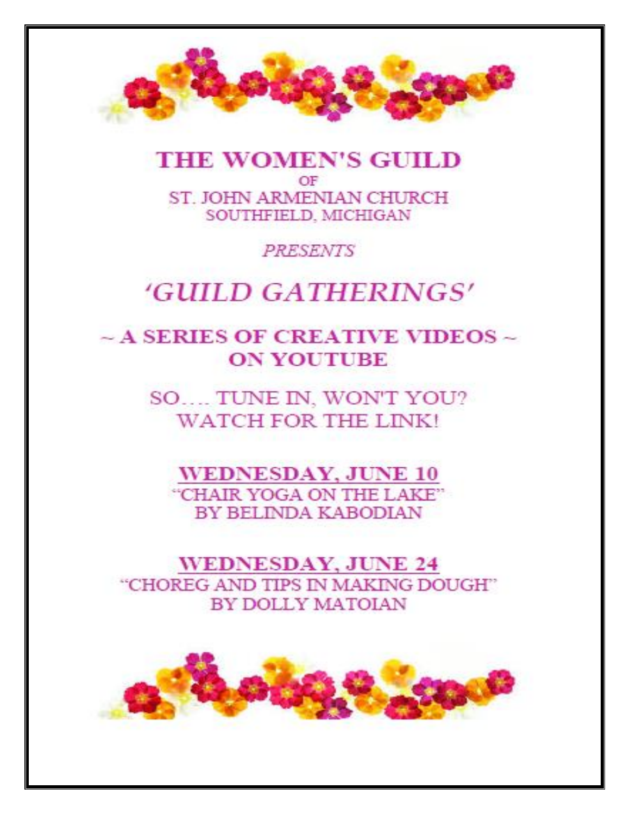

#### **THE WOMEN'S GUILD** OF ST. JOHN ARMENIAN CHURCH SOUTHFIELD, MICHIGAN

PRESENTS

## 'GUILD GATHERINGS'

### $\sim$  A SERIES OF CREATIVE VIDEOS  $\sim$ **ON YOUTUBE**

SO.... TUNE IN, WON'T YOU? **WATCH FOR THE LINK!** 

**WEDNESDAY, JUNE 10** "CHAIR YOGA ON THE LAKE" BY BELINDA KABODIAN

**WEDNESDAY, JUNE 24** "CHOREG AND TIPS IN MAKING DOUGH" **BY DOLLY MATOIAN** 

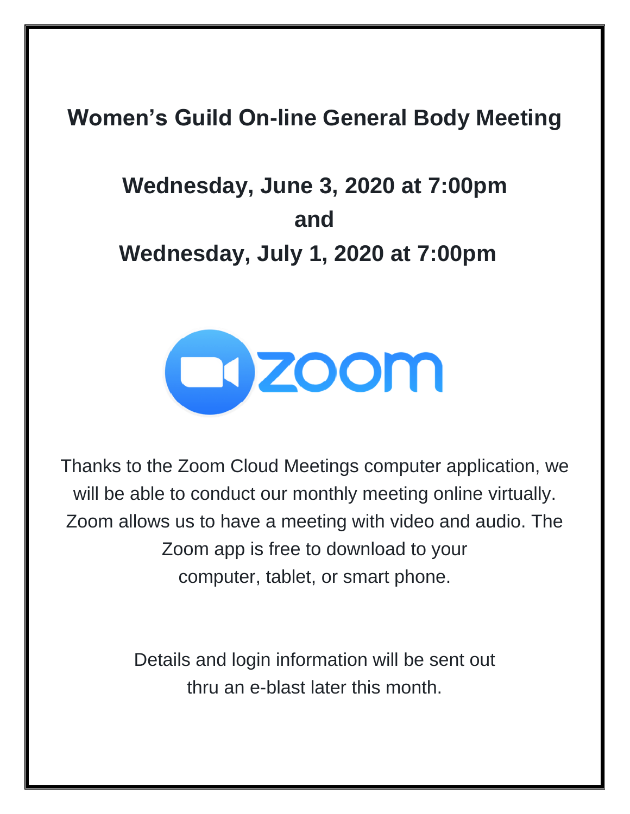## **Women's Guild On-line General Body Meeting**

# **Wednesday, June 3, 2020 at 7:00pm and Wednesday, July 1, 2020 at 7:00pm**



Thanks to the Zoom Cloud Meetings computer application, we will be able to conduct our monthly meeting online virtually. Zoom allows us to have a meeting with video and audio. The Zoom app is free to download to your computer, tablet, or smart phone.

> Details and login information will be sent out thru an e-blast later this month.